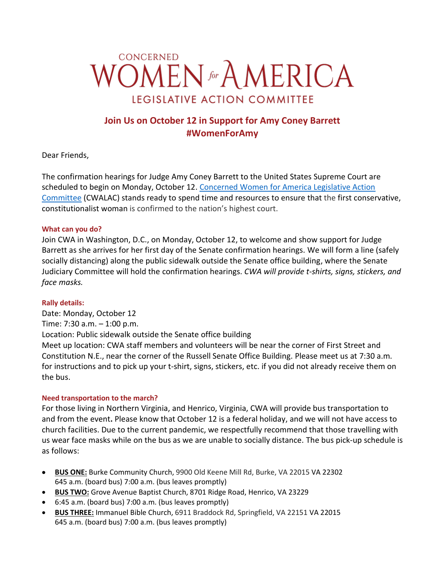

# **Join Us on October 12 in Support for Amy Coney Barrett #WomenForAmy**

Dear Friends,

The confirmation hearings for Judge Amy Coney Barrett to the United States Supreme Court are scheduled to begin on Monday, October 12. [Concerned Women for America Legislative Action](https://concernedwomen.org/)  [Committee](https://concernedwomen.org/) (CWALAC) stands ready to spend time and resources to ensure that the first [conservative,](https://concernedwomen.org/nance-put-first-conservative-woman-on-supreme-court/) [constitutionalist](https://concernedwomen.org/nance-put-first-conservative-woman-on-supreme-court/) woman is confirmed to the nation's highest court.

## **What can you do?**

Join CWA in Washington, D.C., on Monday, October 12, to welcome and show support for Judge Barrett as she arrives for her first day of the Senate confirmation hearings. We will form a line (safely socially distancing) along the public sidewalk outside the Senate office building, where the Senate Judiciary Committee will hold the confirmation hearings. *CWA will provide t-shirts, signs, stickers, and face masks.* 

#### **Rally details:**

Date: Monday, October 12 Time: 7:30 a.m. – 1:00 p.m. Location: Public sidewalk outside the Senate office building Meet up location: CWA staff members and volunteers will be near the corner of First Street and Constitution N.E., near the corner of the Russell Senate Office Building. Please meet us at 7:30 a.m. for instructions and to pick up your t-shirt, signs, stickers, etc. if you did not already receive them on the bus.

## **Need transportation to the march?**

For those living in Northern Virginia, and Henrico, Virginia, CWA will provide bus transportation to and from the event**.** Please know that October 12 is a federal holiday, and we will not have access to church facilities. Due to the current pandemic, we respectfully recommend that those travelling with us wear face masks while on the bus as we are unable to socially distance. The bus pick-up schedule is as follows:

- **BUS ONE:** Burke Community Church, 9900 Old Keene Mill Rd, Burke, VA 22015 VA 22302 645 a.m. (board bus) 7:00 a.m. (bus leaves promptly)
- **BUS TWO:** Grove Avenue Baptist Church, 8701 Ridge Road, Henrico, VA 23229
- 6:45 a.m. (board bus) 7:00 a.m. (bus leaves promptly)
- **BUS THREE:** Immanuel Bible Church, 6911 Braddock Rd, Springfield, VA 22151 VA 22015 645 a.m. (board bus) 7:00 a.m. (bus leaves promptly)